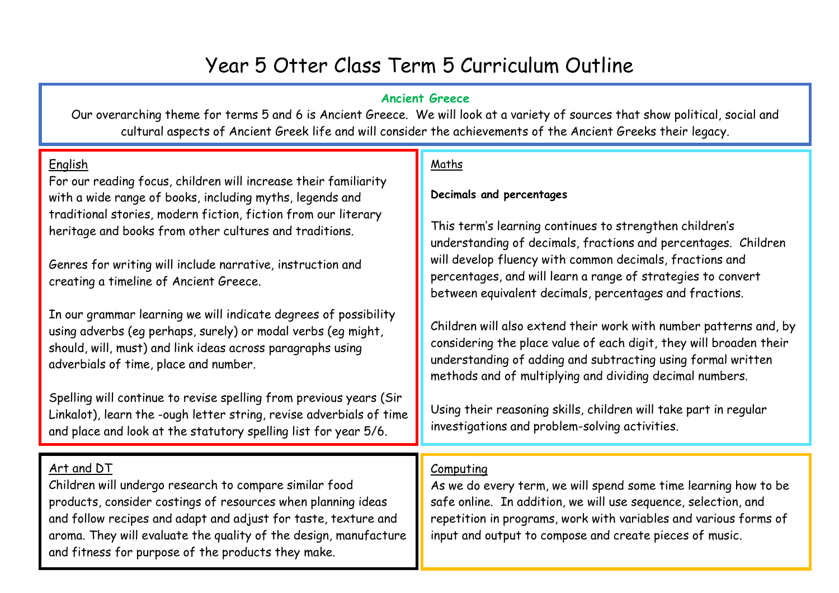# Year 5 Otter Class Term 5 Curriculum Outline

#### **Ancient Greece**

Our overarching theme for terms 5 and 6 is Ancient Greece. We will look at a variety of sources that show political, social and cultural aspects of Ancient Greek life and will consider the achievements of the Ancient Greeks their legacy.

#### English

For our reading focus, children will increase their familiarity with a wide range of books, including myths, legends and traditional stories, modern fiction, fiction from our literary heritage and books from other cultures and traditions.

Genres for writing will include narrative, instruction and creating a timeline of Ancient Greece.

In our grammar learning we will indicate degrees of possibility using adverbs (eg perhaps, surely) or modal verbs (eg might, should, will, must) and link ideas across paragraphs using adverbials of time, place and number.

Spelling will continue to revise spelling from previous years (Sir Linkalot), learn the -ough letter string, revise adverbials of time and place and look at the statutory spelling list for year 5/6.

## Art and DT

Children will undergo research to compare similar food products, consider costings of resources when planning ideas and follow recipes and adapt and adjust for taste, texture and aroma. They will evaluate the quality of the design, manufacture and fitness for purpose of the products they make.

## Maths

#### **Decimals and percentages**

This term's learning continues to strengthen children's understanding of decimals, fractions and percentages. Children will develop fluency with common decimals, fractions and percentages, and will learn a range of strategies to convert between equivalent decimals, percentages and fractions.

Children will also extend their work with number patterns and, by considering the place value of each digit, they will broaden their understanding of adding and subtracting using formal written methods and of multiplying and dividing decimal numbers.

Using their reasoning skills, children will take part in regular investigations and problem-solving activities.

## Computing

As we do every term, we will spend some time learning how to be safe online. In addition, we will use sequence, selection, and repetition in programs, work with variables and various forms of input and output to compose and create pieces of music.